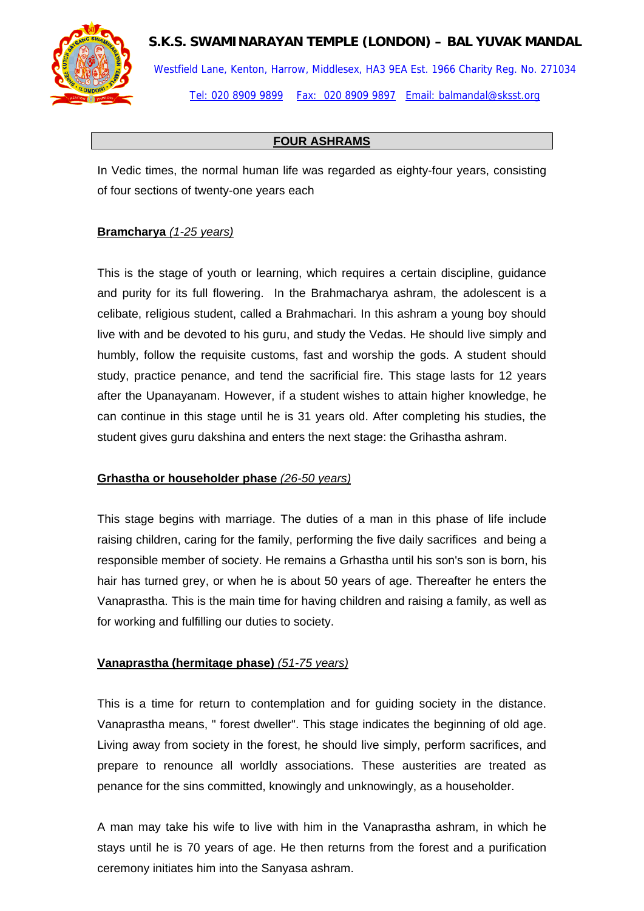## **S.K.S. SWAMINARAYAN TEMPLE (LONDON) – BAL YUVAK MANDAL**



Westfield Lane, Kenton, Harrow, Middlesex, HA3 9EA Est. 1966 Charity Reg. No. 271034 Tel: 020 8909 9899 Fax: 020 8909 9897 Email: balmandal@sksst.org

### **FOUR ASHRAMS**

In Vedic times, the normal human life was regarded as eighty-four years, consisting of four sections of twenty-one years each

#### **Bramcharya** *(1-25 years)*

This is the stage of youth or learning, which requires a certain discipline, guidance and purity for its full flowering. In the Brahmacharya ashram, the adolescent is a celibate, religious student, called a Brahmachari. In this ashram a young boy should live with and be devoted to his guru, and study the [Vedas.](http://www.gurjari.net/ico/Mystica/html/veda.htm) He should live simply and humbly, follow the requisite customs, fast and worship the gods. A student should study, practice penance, and tend the sacrificial fire. This stage lasts for 12 years after the Upanayanam. However, if a student wishes to attain higher knowledge, he can continue in this stage until he is 31 years old. After completing his studies, the student gives guru dakshina and enters the next stage: the Grihastha ashram.

#### **Grhastha or householder phase** *(26-50 years)*

This stage begins with marriage. The duties of a man in this phase of life include raising children, caring for the family, performing the five daily sacrifices and being a responsible member of society. He remains a Grhastha until his son's son is born, his hair has turned grey, or when he is about 50 years of age. Thereafter he enters the Vanaprastha. This is the main time for having children and raising a family, as well as for working and fulfilling our duties to society.

#### **Vanaprastha (hermitage phase)** *(51-75 years)*

This is a time for return to contemplation and for guiding society in the distance. Vanaprastha means, " forest dweller". This stage indicates the beginning of old age. Living away from society in the forest, he should live simply, perform sacrifices, and prepare to renounce all worldly associations. These austerities are treated as penance for the sins committed, knowingly and unknowingly, as a householder.

A man may take his wife to live with him in the Vanaprastha ashram, in which he stays until he is 70 years of age. He then returns from the forest and a purification ceremony initiates him into the Sanyasa ashram.